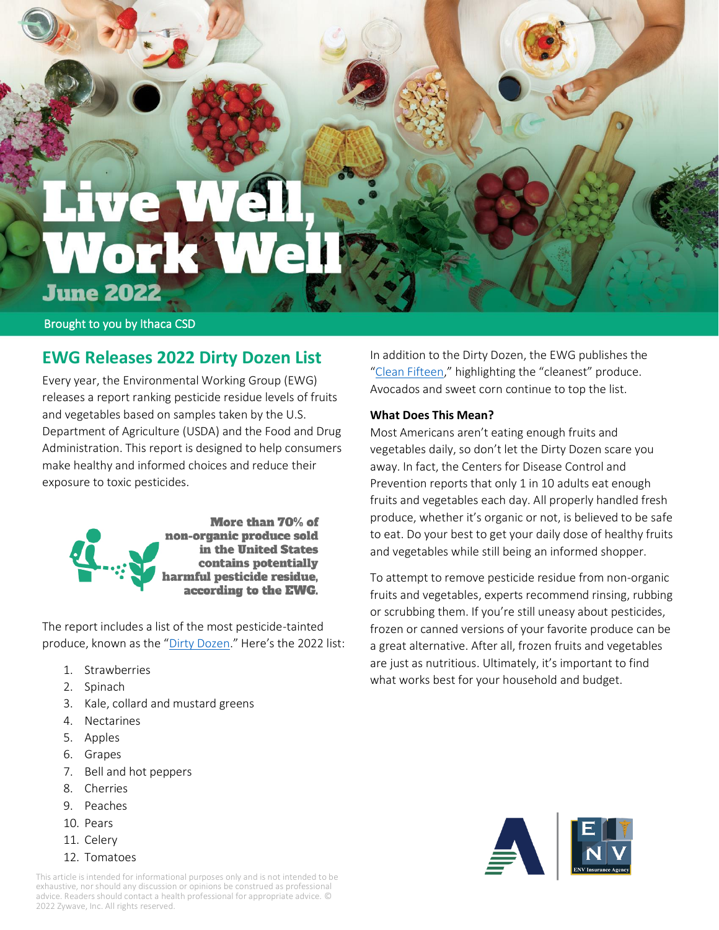# **June 2022**

Brought to you by Ithaca CSD

# **EWG Releases 2022 Dirty Dozen List**

Every year, the Environmental Working Group (EWG) releases a report ranking pesticide residue levels of fruits and vegetables based on samples taken by the U.S. Department of Agriculture (USDA) and the Food and Drug Administration. This report is designed to help consumers make healthy and informed choices and reduce their exposure to toxic pesticides.



The report includes a list of the most pesticide-tainted produce, known as the "[Dirty Dozen](https://www.ewg.org/foodnews/dirty-dozen.php)." Here's the 2022 list:

- 1. Strawberries
- 2. Spinach
- 3. Kale, collard and mustard greens
- 4. Nectarines
- 5. Apples
- 6. Grapes
- 7. Bell and hot peppers
- 8. Cherries
- 9. Peaches
- 10. Pears
- 11. Celery
- 12. Tomatoes

This article is intended for informational purposes only and is not intended to be exhaustive, nor should any discussion or opinions be construed as professional advice. Readers should contact a health professional for appropriate advice. © 2022 Zywave, Inc. All rights reserved.

In addition to the Dirty Dozen, the EWG publishes the "[Clean Fifteen](https://www.ewg.org/foodnews/clean-fifteen.php)," highlighting the "cleanest" produce. Avocados and sweet corn continue to top the list.

# **What Does This Mean?**

Most Americans aren't eating enough fruits and vegetables daily, so don't let the Dirty Dozen scare you away. In fact, the Centers for Disease Control and Prevention reports that only 1 in 10 adults eat enough fruits and vegetables each day. All properly handled fresh produce, whether it's organic or not, is believed to be safe to eat. Do your best to get your daily dose of healthy fruits and vegetables while still being an informed shopper.

To attempt to remove pesticide residue from non-organic fruits and vegetables, experts recommend rinsing, rubbing or scrubbing them. If you're still uneasy about pesticides, frozen or canned versions of your favorite produce can be a great alternative. After all, frozen fruits and vegetables are just as nutritious. Ultimately, it's important to find what works best for your household and budget.